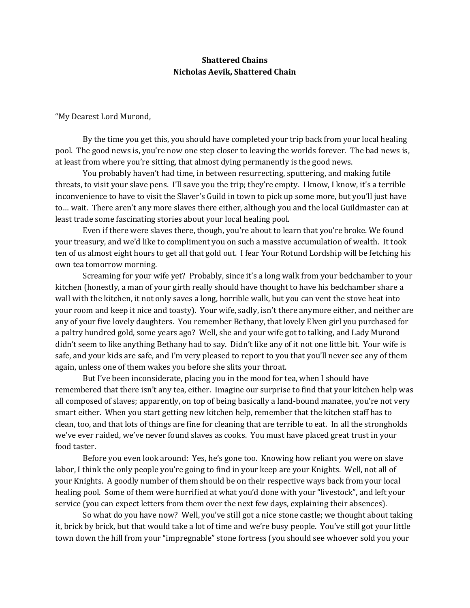# **Shattered Chains Nicholas Aevik, Shattered Chain**

"My Dearest Lord Murond,

 By the time you get this, you should have completed your trip back from your local healing pool. The good news is, you're now one step closer to leaving the worlds forever. The bad news is, at least from where you're sitting, that almost dying permanently is the good news.

 You probably haven't had time, in between resurrecting, sputtering, and making futile threats, to visit your slave pens. I'll save you the trip; they're empty. I know, I know, it's a terrible inconvenience to have to visit the Slaver's Guild in town to pick up some more, but you'll just have to… wait. There aren't any more slaves there either, although you and the local Guildmaster can at least trade some fascinating stories about your local healing pool.

 Even if there were slaves there, though, you're about to learn that you're broke. We found your treasury, and we'd like to compliment you on such a massive accumulation of wealth. It took ten of us almost eight hours to get all that gold out. I fear Your Rotund Lordship will be fetching his own tea tomorrow morning.

 Screaming for your wife yet? Probably, since it's a long walk from your bedchamber to your kitchen (honestly, a man of your girth really should have thought to have his bedchamber share a wall with the kitchen, it not only saves a long, horrible walk, but you can vent the stove heat into your room and keep it nice and toasty). Your wife, sadly, isn't there anymore either, and neither are any of your five lovely daughters. You remember Bethany, that lovely Elven girl you purchased for a paltry hundred gold, some years ago? Well, she and your wife got to talking, and Lady Murond didn't seem to like anything Bethany had to say. Didn't like any of it not one little bit. Your wife is safe, and your kids are safe, and I'm very pleased to report to you that you'll never see any of them again, unless one of them wakes you before she slits your throat.

 But I've been inconsiderate, placing you in the mood for tea, when I should have remembered that there isn't any tea, either. Imagine our surprise to find that your kitchen help was all composed of slaves; apparently, on top of being basically a land-bound manatee, you're not very smart either. When you start getting new kitchen help, remember that the kitchen staff has to clean, too, and that lots of things are fine for cleaning that are terrible to eat. In all the strongholds we've ever raided, we've never found slaves as cooks. You must have placed great trust in your food taster.

 Before you even look around: Yes, he's gone too. Knowing how reliant you were on slave labor, I think the only people you're going to find in your keep are your Knights. Well, not all of your Knights. A goodly number of them should be on their respective ways back from your local healing pool. Some of them were horrified at what you'd done with your "livestock", and left your service (you can expect letters from them over the next few days, explaining their absences).

 So what do you have now? Well, you've still got a nice stone castle; we thought about taking it, brick by brick, but that would take a lot of time and we're busy people. You've still got your little town down the hill from your "impregnable" stone fortress (you should see whoever sold you your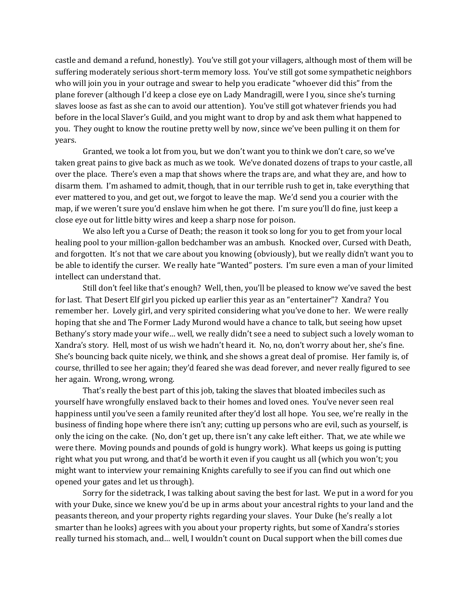castle and demand a refund, honestly). You've still got your villagers, although most of them will be suffering moderately serious short-term memory loss. You've still got some sympathetic neighbors who will join you in your outrage and swear to help you eradicate "whoever did this" from the plane forever (although I'd keep a close eye on Lady Mandragill, were I you, since she's turning slaves loose as fast as she can to avoid our attention). You've still got whatever friends you had before in the local Slaver's Guild, and you might want to drop by and ask them what happened to you. They ought to know the routine pretty well by now, since we've been pulling it on them for years.

 Granted, we took a lot from you, but we don't want you to think we don't care, so we've taken great pains to give back as much as we took. We've donated dozens of traps to your castle, all over the place. There's even a map that shows where the traps are, and what they are, and how to disarm them. I'm ashamed to admit, though, that in our terrible rush to get in, take everything that ever mattered to you, and get out, we forgot to leave the map. We'd send you a courier with the map, if we weren't sure you'd enslave him when he got there. I'm sure you'll do fine, just keep a close eye out for little bitty wires and keep a sharp nose for poison.

 We also left you a Curse of Death; the reason it took so long for you to get from your local healing pool to your million-gallon bedchamber was an ambush. Knocked over, Cursed with Death, and forgotten. It's not that we care about you knowing (obviously), but we really didn't want you to be able to identify the curser. We really hate "Wanted" posters. I'm sure even a man of your limited intellect can understand that.

 Still don't feel like that's enough? Well, then, you'll be pleased to know we've saved the best for last. That Desert Elf girl you picked up earlier this year as an "entertainer"? Xandra? You remember her. Lovely girl, and very spirited considering what you've done to her. We were really hoping that she and The Former Lady Murond would have a chance to talk, but seeing how upset Bethany's story made your wife… well, we really didn't see a need to subject such a lovely woman to Xandra's story. Hell, most of us wish we hadn't heard it. No, no, don't worry about her, she's fine. She's bouncing back quite nicely, we think, and she shows a great deal of promise. Her family is, of course, thrilled to see her again; they'd feared she was dead forever, and never really figured to see her again. Wrong, wrong, wrong.

 That's really the best part of this job, taking the slaves that bloated imbeciles such as yourself have wrongfully enslaved back to their homes and loved ones. You've never seen real happiness until you've seen a family reunited after they'd lost all hope. You see, we're really in the business of finding hope where there isn't any; cutting up persons who are evil, such as yourself, is only the icing on the cake. (No, don't get up, there isn't any cake left either. That, we ate while we were there. Moving pounds and pounds of gold is hungry work). What keeps us going is putting right what you put wrong, and that'd be worth it even if you caught us all (which you won't; you might want to interview your remaining Knights carefully to see if you can find out which one opened your gates and let us through).

 Sorry for the sidetrack, I was talking about saving the best for last. We put in a word for you with your Duke, since we knew you'd be up in arms about your ancestral rights to your land and the peasants thereon, and your property rights regarding your slaves. Your Duke (he's really a lot smarter than he looks) agrees with you about your property rights, but some of Xandra's stories really turned his stomach, and… well, I wouldn't count on Ducal support when the bill comes due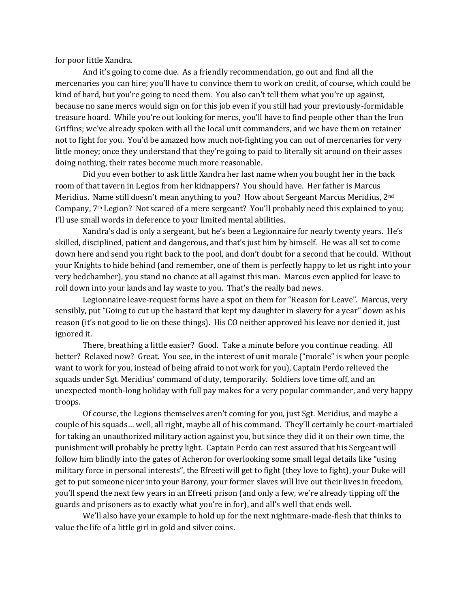for poor little Xandra.

 And it's going to come due. As a friendly recommendation, go out and find all the mercenaries you can hire; you'll have to convince them to work on credit, of course, which could be kind of hard, but you're going to need them. You also can't tell them what you're up against, because no sane mercs would sign on for this job even if you still had your previously-formidable treasure hoard. While you're out looking for mercs, you'll have to find people other than the Iron Griffins; we've already spoken with all the local unit commanders, and we have them on retainer not to fight for you. You'd be amazed how much not-fighting you can out of mercenaries for very little money; once they understand that they're going to paid to literally sit around on their asses doing nothing, their rates become much more reasonable.

 Did you even bother to ask little Xandra her last name when you bought her in the back room of that tavern in Legios from her kidnappers? You should have. Her father is Marcus Meridius. Name still doesn't mean anything to you? How about Sergeant Marcus Meridius, 2nd Company,  $7<sup>th</sup>$  Legion? Not scared of a mere sergeant? You'll probably need this explained to you; I'll use small words in deference to your limited mental abilities.

 Xandra's dad is only a sergeant, but he's been a Legionnaire for nearly twenty years. He's skilled, disciplined, patient and dangerous, and that's just him by himself. He was all set to come down here and send you right back to the pool, and don't doubt for a second that he could. Without your Knights to hide behind (and remember, one of them is perfectly happy to let us right into your very bedchamber), you stand no chance at all against this man. Marcus even applied for leave to roll down into your lands and lay waste to you. That's the really bad news.

 Legionnaire leave-request forms have a spot on them for "Reason for Leave". Marcus, very sensibly, put "Going to cut up the bastard that kept my daughter in slavery for a year" down as his reason (it's not good to lie on these things). His CO neither approved his leave nor denied it, just ignored it.

 There, breathing a little easier? Good. Take a minute before you continue reading. All better? Relaxed now? Great. You see, in the interest of unit morale ("morale" is when your people want to work for you, instead of being afraid to not work for you), Captain Perdo relieved the squads under Sgt. Meridius' command of duty, temporarily. Soldiers love time off, and an unexpected month-long holiday with full pay makes for a very popular commander, and very happy troops.

 Of course, the Legions themselves aren't coming for you, just Sgt. Meridius, and maybe a couple of his squads… well, all right, maybe all of his command. They'll certainly be court-martialed for taking an unauthorized military action against you, but since they did it on their own time, the punishment will probably be pretty light. Captain Perdo can rest assured that his Sergeant will follow him blindly into the gates of Acheron for overlooking some small legal details like "using military force in personal interests", the Efreeti will get to fight (they love to fight), your Duke will get to put someone nicer into your Barony, your former slaves will live out their lives in freedom, you'll spend the next few years in an Efreeti prison (and only a few, we're already tipping off the guards and prisoners as to exactly what you're in for), and all's well that ends well.

 We'll also have your example to hold up for the next nightmare-made-flesh that thinks to value the life of a little girl in gold and silver coins.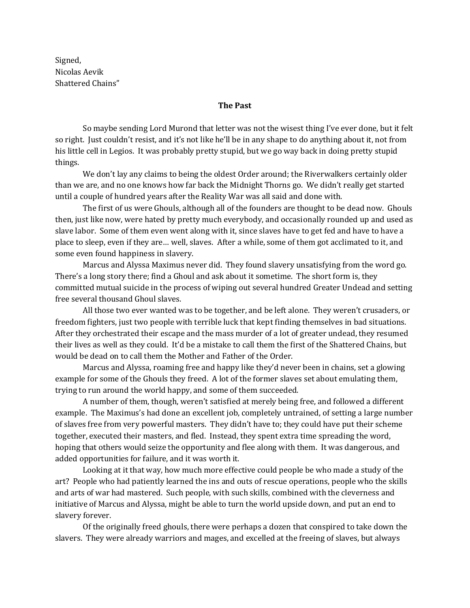Signed, Nicolas Aevik Shattered Chains"

# **The Past**

 So maybe sending Lord Murond that letter was not the wisest thing I've ever done, but it felt so right. Just couldn't resist, and it's not like he'll be in any shape to do anything about it, not from his little cell in Legios. It was probably pretty stupid, but we go way back in doing pretty stupid things.

 We don't lay any claims to being the oldest Order around; the Riverwalkers certainly older than we are, and no one knows how far back the Midnight Thorns go. We didn't really get started until a couple of hundred years after the Reality War was all said and done with.

 The first of us were Ghouls, although all of the founders are thought to be dead now. Ghouls then, just like now, were hated by pretty much everybody, and occasionally rounded up and used as slave labor. Some of them even went along with it, since slaves have to get fed and have to have a place to sleep, even if they are… well, slaves. After a while, some of them got acclimated to it, and some even found happiness in slavery.

 Marcus and Alyssa Maximus never did. They found slavery unsatisfying from the word go. There's a long story there; find a Ghoul and ask about it sometime. The short form is, they committed mutual suicide in the process of wiping out several hundred Greater Undead and setting free several thousand Ghoul slaves.

 All those two ever wanted was to be together, and be left alone. They weren't crusaders, or freedom fighters, just two people with terrible luck that kept finding themselves in bad situations. After they orchestrated their escape and the mass murder of a lot of greater undead, they resumed their lives as well as they could. It'd be a mistake to call them the first of the Shattered Chains, but would be dead on to call them the Mother and Father of the Order.

 Marcus and Alyssa, roaming free and happy like they'd never been in chains, set a glowing example for some of the Ghouls they freed. A lot of the former slaves set about emulating them, trying to run around the world happy, and some of them succeeded.

 A number of them, though, weren't satisfied at merely being free, and followed a different example. The Maximus's had done an excellent job, completely untrained, of setting a large number of slaves free from very powerful masters. They didn't have to; they could have put their scheme together, executed their masters, and fled. Instead, they spent extra time spreading the word, hoping that others would seize the opportunity and flee along with them. It was dangerous, and added opportunities for failure, and it was worth it.

 Looking at it that way, how much more effective could people be who made a study of the art? People who had patiently learned the ins and outs of rescue operations, people who the skills and arts of war had mastered. Such people, with such skills, combined with the cleverness and initiative of Marcus and Alyssa, might be able to turn the world upside down, and put an end to slavery forever.

 Of the originally freed ghouls, there were perhaps a dozen that conspired to take down the slavers. They were already warriors and mages, and excelled at the freeing of slaves, but always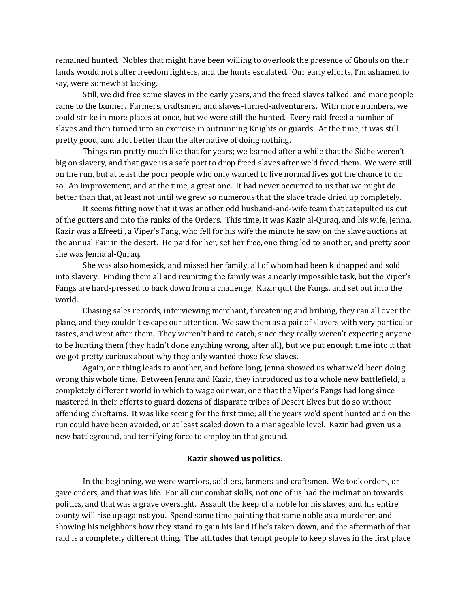remained hunted. Nobles that might have been willing to overlook the presence of Ghouls on their lands would not suffer freedom fighters, and the hunts escalated. Our early efforts, I'm ashamed to say, were somewhat lacking.

 Still, we did free some slaves in the early years, and the freed slaves talked, and more people came to the banner. Farmers, craftsmen, and slaves-turned-adventurers. With more numbers, we could strike in more places at once, but we were still the hunted. Every raid freed a number of slaves and then turned into an exercise in outrunning Knights or guards. At the time, it was still pretty good, and a lot better than the alternative of doing nothing.

 Things ran pretty much like that for years; we learned after a while that the Sidhe weren't big on slavery, and that gave us a safe port to drop freed slaves after we'd freed them. We were still on the run, but at least the poor people who only wanted to live normal lives got the chance to do so. An improvement, and at the time, a great one. It had never occurred to us that we might do better than that, at least not until we grew so numerous that the slave trade dried up completely.

 It seems fitting now that it was another odd husband-and-wife team that catapulted us out of the gutters and into the ranks of the Orders. This time, it was Kazir al-Quraq, and his wife, Jenna. Kazir was a Efreeti , a Viper's Fang, who fell for his wife the minute he saw on the slave auctions at the annual Fair in the desert. He paid for her, set her free, one thing led to another, and pretty soon she was Jenna al-Quraq.

 She was also homesick, and missed her family, all of whom had been kidnapped and sold into slavery. Finding them all and reuniting the family was a nearly impossible task, but the Viper's Fangs are hard-pressed to back down from a challenge. Kazir quit the Fangs, and set out into the world.

 Chasing sales records, interviewing merchant, threatening and bribing, they ran all over the plane, and they couldn't escape our attention. We saw them as a pair of slavers with very particular tastes, and went after them. They weren't hard to catch, since they really weren't expecting anyone to be hunting them (they hadn't done anything wrong, after all), but we put enough time into it that we got pretty curious about why they only wanted those few slaves.

 Again, one thing leads to another, and before long, Jenna showed us what we'd been doing wrong this whole time. Between Jenna and Kazir, they introduced us to a whole new battlefield, a completely different world in which to wage our war, one that the Viper's Fangs had long since mastered in their efforts to guard dozens of disparate tribes of Desert Elves but do so without offending chieftains. It was like seeing for the first time; all the years we'd spent hunted and on the run could have been avoided, or at least scaled down to a manageable level. Kazir had given us a new battleground, and terrifying force to employ on that ground.

#### **Kazir showed us politics.**

 In the beginning, we were warriors, soldiers, farmers and craftsmen. We took orders, or gave orders, and that was life. For all our combat skills, not one of us had the inclination towards politics, and that was a grave oversight. Assault the keep of a noble for his slaves, and his entire county will rise up against you. Spend some time painting that same noble as a murderer, and showing his neighbors how they stand to gain his land if he's taken down, and the aftermath of that raid is a completely different thing. The attitudes that tempt people to keep slaves in the first place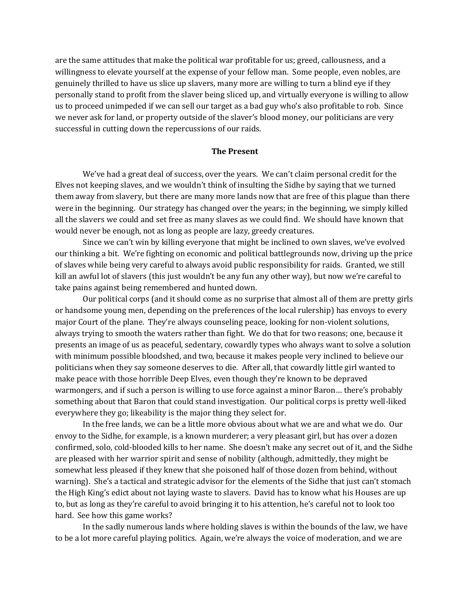are the same attitudes that make the political war profitable for us; greed, callousness, and a willingness to elevate yourself at the expense of your fellow man. Some people, even nobles, are genuinely thrilled to have us slice up slavers, many more are willing to turn a blind eye if they personally stand to profit from the slaver being sliced up, and virtually everyone is willing to allow us to proceed unimpeded if we can sell our target as a bad guy who's also profitable to rob. Since we never ask for land, or property outside of the slaver's blood money, our politicians are very successful in cutting down the repercussions of our raids.

### **The Present**

 We've had a great deal of success, over the years. We can't claim personal credit for the Elves not keeping slaves, and we wouldn't think of insulting the Sidhe by saying that we turned them away from slavery, but there are many more lands now that are free of this plague than there were in the beginning. Our strategy has changed over the years; in the beginning, we simply killed all the slavers we could and set free as many slaves as we could find. We should have known that would never be enough, not as long as people are lazy, greedy creatures.

 Since we can't win by killing everyone that might be inclined to own slaves, we've evolved our thinking a bit. We're fighting on economic and political battlegrounds now, driving up the price of slaves while being very careful to always avoid public responsibility for raids. Granted, we still kill an awful lot of slavers (this just wouldn't be any fun any other way), but now we're careful to take pains against being remembered and hunted down.

 Our political corps (and it should come as no surprise that almost all of them are pretty girls or handsome young men, depending on the preferences of the local rulership) has envoys to every major Court of the plane. They're always counseling peace, looking for non-violent solutions, always trying to smooth the waters rather than fight. We do that for two reasons; one, because it presents an image of us as peaceful, sedentary, cowardly types who always want to solve a solution with minimum possible bloodshed, and two, because it makes people very inclined to believe our politicians when they say someone deserves to die. After all, that cowardly little girl wanted to make peace with those horrible Deep Elves, even though they're known to be depraved warmongers, and if such a person is willing to use force against a minor Baron… there's probably something about that Baron that could stand investigation. Our political corps is pretty well-liked everywhere they go; likeability is the major thing they select for.

 In the free lands, we can be a little more obvious about what we are and what we do. Our envoy to the Sidhe, for example, is a known murderer; a very pleasant girl, but has over a dozen confirmed, solo, cold-blooded kills to her name. She doesn't make any secret out of it, and the Sidhe are pleased with her warrior spirit and sense of nobility (although, admittedly, they might be somewhat less pleased if they knew that she poisoned half of those dozen from behind, without warning). She's a tactical and strategic advisor for the elements of the Sidhe that just can't stomach the High King's edict about not laying waste to slavers. David has to know what his Houses are up to, but as long as they're careful to avoid bringing it to his attention, he's careful not to look too hard. See how this game works?

 In the sadly numerous lands where holding slaves is within the bounds of the law, we have to be a lot more careful playing politics. Again, we're always the voice of moderation, and we are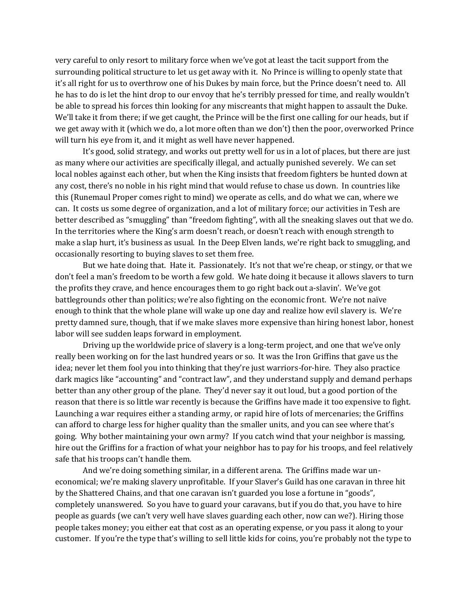very careful to only resort to military force when we've got at least the tacit support from the surrounding political structure to let us get away with it. No Prince is willing to openly state that it's all right for us to overthrow one of his Dukes by main force, but the Prince doesn't need to. All he has to do is let the hint drop to our envoy that he's terribly pressed for time, and really wouldn't be able to spread his forces thin looking for any miscreants that might happen to assault the Duke. We'll take it from there; if we get caught, the Prince will be the first one calling for our heads, but if we get away with it (which we do, a lot more often than we don't) then the poor, overworked Prince will turn his eye from it, and it might as well have never happened.

 It's good, solid strategy, and works out pretty well for us in a lot of places, but there are just as many where our activities are specifically illegal, and actually punished severely. We can set local nobles against each other, but when the King insists that freedom fighters be hunted down at any cost, there's no noble in his right mind that would refuse to chase us down. In countries like this (Runemaul Proper comes right to mind) we operate as cells, and do what we can, where we can. It costs us some degree of organization, and a lot of military force; our activities in Tesh are better described as "smuggling" than "freedom fighting", with all the sneaking slaves out that we do. In the territories where the King's arm doesn't reach, or doesn't reach with enough strength to make a slap hurt, it's business as usual. In the Deep Elven lands, we're right back to smuggling, and occasionally resorting to buying slaves to set them free.

 But we hate doing that. Hate it. Passionately. It's not that we're cheap, or stingy, or that we don't feel a man's freedom to be worth a few gold. We hate doing it because it allows slavers to turn the profits they crave, and hence encourages them to go right back out a-slavin'. We've got battlegrounds other than politics; we're also fighting on the economic front. We're not naïve enough to think that the whole plane will wake up one day and realize how evil slavery is. We're pretty damned sure, though, that if we make slaves more expensive than hiring honest labor, honest labor will see sudden leaps forward in employment.

 Driving up the worldwide price of slavery is a long-term project, and one that we've only really been working on for the last hundred years or so. It was the Iron Griffins that gave us the idea; never let them fool you into thinking that they're just warriors-for-hire. They also practice dark magics like "accounting" and "contract law", and they understand supply and demand perhaps better than any other group of the plane. They'd never say it out loud, but a good portion of the reason that there is so little war recently is because the Griffins have made it too expensive to fight. Launching a war requires either a standing army, or rapid hire of lots of mercenaries; the Griffins can afford to charge less for higher quality than the smaller units, and you can see where that's going. Why bother maintaining your own army? If you catch wind that your neighbor is massing, hire out the Griffins for a fraction of what your neighbor has to pay for his troops, and feel relatively safe that his troops can't handle them.

 And we're doing something similar, in a different arena. The Griffins made war uneconomical; we're making slavery unprofitable. If your Slaver's Guild has one caravan in three hit by the Shattered Chains, and that one caravan isn't guarded you lose a fortune in "goods", completely unanswered. So you have to guard your caravans, but if you do that, you have to hire people as guards (we can't very well have slaves guarding each other, now can we?). Hiring those people takes money; you either eat that cost as an operating expense, or you pass it along to your customer. If you're the type that's willing to sell little kids for coins, you're probably not the type to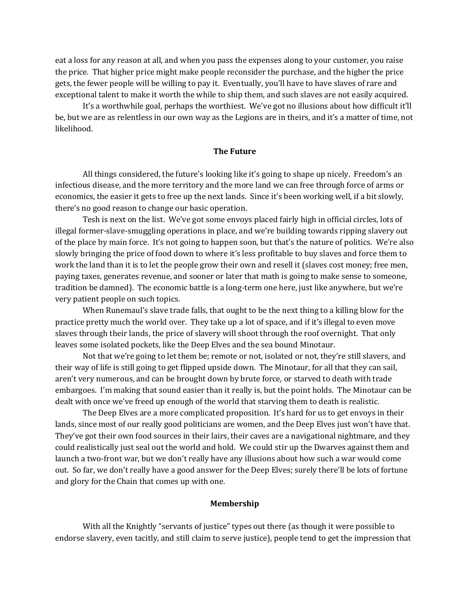eat a loss for any reason at all, and when you pass the expenses along to your customer, you raise the price. That higher price might make people reconsider the purchase, and the higher the price gets, the fewer people will be willing to pay it. Eventually, you'll have to have slaves of rare and exceptional talent to make it worth the while to ship them, and such slaves are not easily acquired.

 It's a worthwhile goal, perhaps the worthiest. We've got no illusions about how difficult it'll be, but we are as relentless in our own way as the Legions are in theirs, and it's a matter of time, not likelihood.

#### **The Future**

 All things considered, the future's looking like it's going to shape up nicely. Freedom's an infectious disease, and the more territory and the more land we can free through force of arms or economics, the easier it gets to free up the next lands. Since it's been working well, if a bit slowly, there's no good reason to change our basic operation.

 Tesh is next on the list. We've got some envoys placed fairly high in official circles, lots of illegal former-slave-smuggling operations in place, and we're building towards ripping slavery out of the place by main force. It's not going to happen soon, but that's the nature of politics. We're also slowly bringing the price of food down to where it's less profitable to buy slaves and force them to work the land than it is to let the people grow their own and resell it (slaves cost money; free men, paying taxes, generates revenue, and sooner or later that math is going to make sense to someone, tradition be damned). The economic battle is a long-term one here, just like anywhere, but we're very patient people on such topics.

 When Runemaul's slave trade falls, that ought to be the next thing to a killing blow for the practice pretty much the world over. They take up a lot of space, and if it's illegal to even move slaves through their lands, the price of slavery will shoot through the roof overnight. That only leaves some isolated pockets, like the Deep Elves and the sea bound Minotaur.

 Not that we're going to let them be; remote or not, isolated or not, they're still slavers, and their way of life is still going to get flipped upside down. The Minotaur, for all that they can sail, aren't very numerous, and can be brought down by brute force, or starved to death with trade embargoes. I'm making that sound easier than it really is, but the point holds. The Minotaur can be dealt with once we've freed up enough of the world that starving them to death is realistic.

 The Deep Elves are a more complicated proposition. It's hard for us to get envoys in their lands, since most of our really good politicians are women, and the Deep Elves just won't have that. They've got their own food sources in their lairs, their caves are a navigational nightmare, and they could realistically just seal out the world and hold. We could stir up the Dwarves against them and launch a two-front war, but we don't really have any illusions about how such a war would come out. So far, we don't really have a good answer for the Deep Elves; surely there'll be lots of fortune and glory for the Chain that comes up with one.

#### **Membership**

 With all the Knightly "servants of justice" types out there (as though it were possible to endorse slavery, even tacitly, and still claim to serve justice), people tend to get the impression that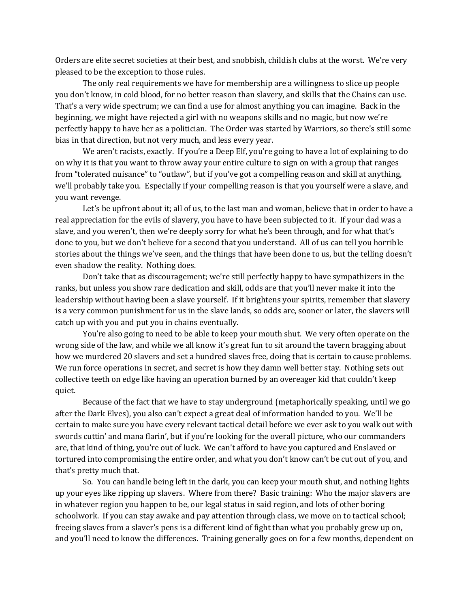Orders are elite secret societies at their best, and snobbish, childish clubs at the worst. We're very pleased to be the exception to those rules.

 The only real requirements we have for membership are a willingness to slice up people you don't know, in cold blood, for no better reason than slavery, and skills that the Chains can use. That's a very wide spectrum; we can find a use for almost anything you can imagine. Back in the beginning, we might have rejected a girl with no weapons skills and no magic, but now we're perfectly happy to have her as a politician. The Order was started by Warriors, so there's still some bias in that direction, but not very much, and less every year.

 We aren't racists, exactly. If you're a Deep Elf, you're going to have a lot of explaining to do on why it is that you want to throw away your entire culture to sign on with a group that ranges from "tolerated nuisance" to "outlaw", but if you've got a compelling reason and skill at anything, we'll probably take you. Especially if your compelling reason is that you yourself were a slave, and you want revenge.

 Let's be upfront about it; all of us, to the last man and woman, believe that in order to have a real appreciation for the evils of slavery, you have to have been subjected to it. If your dad was a slave, and you weren't, then we're deeply sorry for what he's been through, and for what that's done to you, but we don't believe for a second that you understand. All of us can tell you horrible stories about the things we've seen, and the things that have been done to us, but the telling doesn't even shadow the reality. Nothing does.

 Don't take that as discouragement; we're still perfectly happy to have sympathizers in the ranks, but unless you show rare dedication and skill, odds are that you'll never make it into the leadership without having been a slave yourself. If it brightens your spirits, remember that slavery is a very common punishment for us in the slave lands, so odds are, sooner or later, the slavers will catch up with you and put you in chains eventually.

 You're also going to need to be able to keep your mouth shut. We very often operate on the wrong side of the law, and while we all know it's great fun to sit around the tavern bragging about how we murdered 20 slavers and set a hundred slaves free, doing that is certain to cause problems. We run force operations in secret, and secret is how they damn well better stay. Nothing sets out collective teeth on edge like having an operation burned by an overeager kid that couldn't keep quiet.

 Because of the fact that we have to stay underground (metaphorically speaking, until we go after the Dark Elves), you also can't expect a great deal of information handed to you. We'll be certain to make sure you have every relevant tactical detail before we ever ask to you walk out with swords cuttin' and mana flarin', but if you're looking for the overall picture, who our commanders are, that kind of thing, you're out of luck. We can't afford to have you captured and Enslaved or tortured into compromising the entire order, and what you don't know can't be cut out of you, and that's pretty much that.

 So. You can handle being left in the dark, you can keep your mouth shut, and nothing lights up your eyes like ripping up slavers. Where from there? Basic training: Who the major slavers are in whatever region you happen to be, our legal status in said region, and lots of other boring schoolwork. If you can stay awake and pay attention through class, we move on to tactical school; freeing slaves from a slaver's pens is a different kind of fight than what you probably grew up on, and you'll need to know the differences. Training generally goes on for a few months, dependent on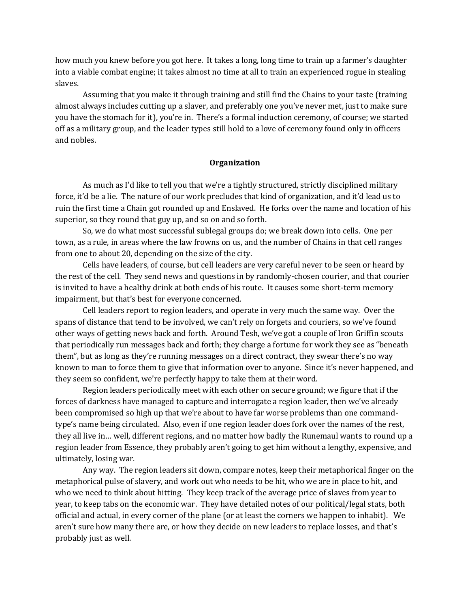how much you knew before you got here. It takes a long, long time to train up a farmer's daughter into a viable combat engine; it takes almost no time at all to train an experienced rogue in stealing slaves.

 Assuming that you make it through training and still find the Chains to your taste (training almost always includes cutting up a slaver, and preferably one you've never met, just to make sure you have the stomach for it), you're in. There's a formal induction ceremony, of course; we started off as a military group, and the leader types still hold to a love of ceremony found only in officers and nobles.

# **Organization**

 As much as I'd like to tell you that we're a tightly structured, strictly disciplined military force, it'd be a lie. The nature of our work precludes that kind of organization, and it'd lead us to ruin the first time a Chain got rounded up and Enslaved. He forks over the name and location of his superior, so they round that guy up, and so on and so forth.

 So, we do what most successful sublegal groups do; we break down into cells. One per town, as a rule, in areas where the law frowns on us, and the number of Chains in that cell ranges from one to about 20, depending on the size of the city.

 Cells have leaders, of course, but cell leaders are very careful never to be seen or heard by the rest of the cell. They send news and questions in by randomly-chosen courier, and that courier is invited to have a healthy drink at both ends of his route. It causes some short-term memory impairment, but that's best for everyone concerned.

 Cell leaders report to region leaders, and operate in very much the same way. Over the spans of distance that tend to be involved, we can't rely on forgets and couriers, so we've found other ways of getting news back and forth. Around Tesh, we've got a couple of Iron Griffin scouts that periodically run messages back and forth; they charge a fortune for work they see as "beneath them", but as long as they're running messages on a direct contract, they swear there's no way known to man to force them to give that information over to anyone. Since it's never happened, and they seem so confident, we're perfectly happy to take them at their word.

 Region leaders periodically meet with each other on secure ground; we figure that if the forces of darkness have managed to capture and interrogate a region leader, then we've already been compromised so high up that we're about to have far worse problems than one commandtype's name being circulated. Also, even if one region leader does fork over the names of the rest, they all live in… well, different regions, and no matter how badly the Runemaul wants to round up a region leader from Essence, they probably aren't going to get him without a lengthy, expensive, and ultimately, losing war.

 Any way. The region leaders sit down, compare notes, keep their metaphorical finger on the metaphorical pulse of slavery, and work out who needs to be hit, who we are in place to hit, and who we need to think about hitting. They keep track of the average price of slaves from year to year, to keep tabs on the economic war. They have detailed notes of our political/legal stats, both official and actual, in every corner of the plane (or at least the corners we happen to inhabit). We aren't sure how many there are, or how they decide on new leaders to replace losses, and that's probably just as well.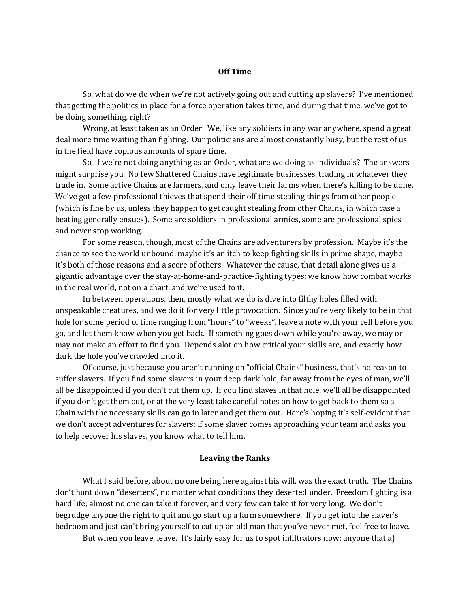# **Off Time**

 So, what do we do when we're not actively going out and cutting up slavers? I've mentioned that getting the politics in place for a force operation takes time, and during that time, we've got to be doing something, right?

 Wrong, at least taken as an Order. We, like any soldiers in any war anywhere, spend a great deal more time waiting than fighting. Our politicians are almost constantly busy, but the rest of us in the field have copious amounts of spare time.

 So, if we're not doing anything as an Order, what are we doing as individuals? The answers might surprise you. No few Shattered Chains have legitimate businesses, trading in whatever they trade in. Some active Chains are farmers, and only leave their farms when there's killing to be done. We've got a few professional thieves that spend their off time stealing things from other people (which is fine by us, unless they happen to get caught stealing from other Chains, in which case a beating generally ensues). Some are soldiers in professional armies, some are professional spies and never stop working.

 For some reason, though, most of the Chains are adventurers by profession. Maybe it's the chance to see the world unbound, maybe it's an itch to keep fighting skills in prime shape, maybe it's both of those reasons and a score of others. Whatever the cause, that detail alone gives us a gigantic advantage over the stay-at-home-and-practice-fighting types; we know how combat works in the real world, not on a chart, and we're used to it.

 In between operations, then, mostly what we do is dive into filthy holes filled with unspeakable creatures, and we do it for very little provocation. Since you're very likely to be in that hole for some period of time ranging from "hours" to "weeks", leave a note with your cell before you go, and let them know when you get back. If something goes down while you're away, we may or may not make an effort to find you. Depends alot on how critical your skills are, and exactly how dark the hole you've crawled into it.

 Of course, just because you aren't running on "official Chains" business, that's no reason to suffer slavers. If you find some slavers in your deep dark hole, far away from the eyes of man, we'll all be disappointed if you don't cut them up. If you find slaves in that hole, we'll all be disappointed if you don't get them out, or at the very least take careful notes on how to get back to them so a Chain with the necessary skills can go in later and get them out. Here's hoping it's self-evident that we don't accept adventures for slavers; if some slaver comes approaching your team and asks you to help recover his slaves, you know what to tell him.

### **Leaving the Ranks**

 What I said before, about no one being here against his will, was the exact truth. The Chains don't hunt down "deserters", no matter what conditions they deserted under. Freedom fighting is a hard life; almost no one can take it forever, and very few can take it for very long. We don't begrudge anyone the right to quit and go start up a farm somewhere. If you get into the slaver's bedroom and just can't bring yourself to cut up an old man that you've never met, feel free to leave.

But when you leave, leave. It's fairly easy for us to spot infiltrators now; anyone that a)